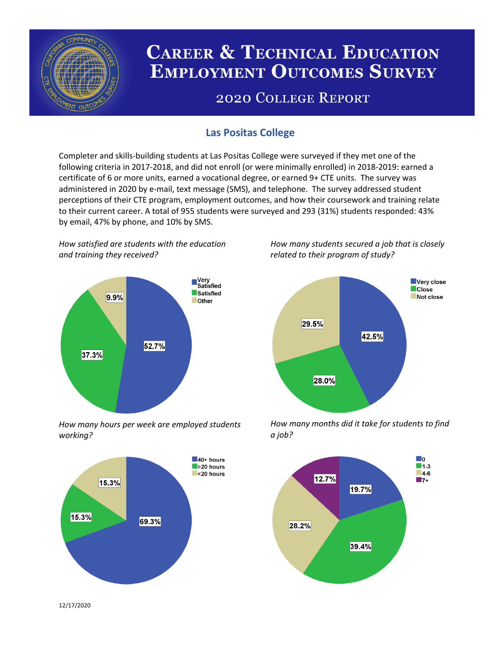

# **CAREER & TECHNICAL EDUCATION EMPLOYMENT OUTCOMES SURVEY**

## **2020 COLLEGE REPORT**

## **Las Positas College**

Completer and skills-building students at Las Positas College were surveyed if they met one of the following criteria in 2017-2018, and did not enroll (or were minimally enrolled) in 2018-2019: earned a certificate of 6 or more units, earned a vocational degree, or earned 9+ CTE units. The survey was administered in 2020 by e-mail, text message (SMS), and telephone. The survey addressed student perceptions of their CTE program, employment outcomes, and how their coursework and training relate to their current career. A total of 955 students were surveyed and 293 (31%) students responded: 43% by email, 47% by phone, and 10% by SMS.

*How satisfied are students with the education and training they received?*



*How many hours per week are employed students working?*



*How many students secured a job that is closely related to their program of study?*



*How many months did it take for students to find a job?*